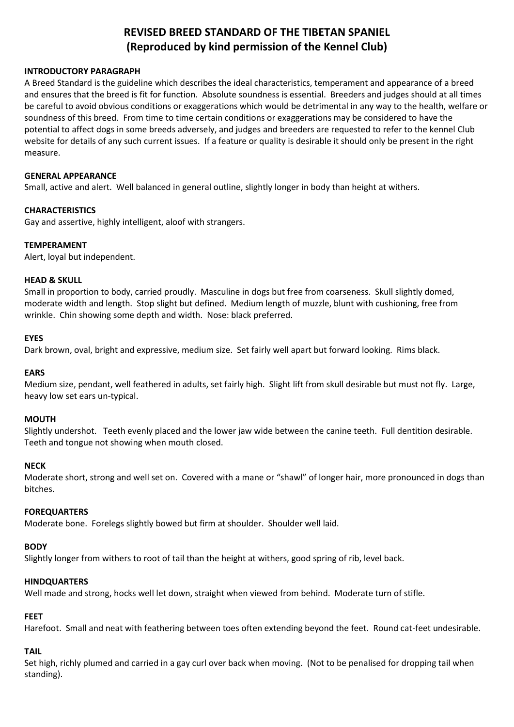# **REVISED BREED STANDARD OF THE TIBETAN SPANIEL (Reproduced by kind permission of the Kennel Club)**

#### **INTRODUCTORY PARAGRAPH**

A Breed Standard is the guideline which describes the ideal characteristics, temperament and appearance of a breed and ensures that the breed is fit for function. Absolute soundness is essential. Breeders and judges should at all times be careful to avoid obvious conditions or exaggerations which would be detrimental in any way to the health, welfare or soundness of this breed. From time to time certain conditions or exaggerations may be considered to have the potential to affect dogs in some breeds adversely, and judges and breeders are requested to refer to the kennel Club website for details of any such current issues. If a feature or quality is desirable it should only be present in the right measure.

#### **GENERAL APPEARANCE**

Small, active and alert. Well balanced in general outline, slightly longer in body than height at withers.

## **CHARACTERISTICS**

Gay and assertive, highly intelligent, aloof with strangers.

#### **TEMPERAMENT**

Alert, loyal but independent.

#### **HEAD & SKULL**

Small in proportion to body, carried proudly. Masculine in dogs but free from coarseness. Skull slightly domed, moderate width and length. Stop slight but defined. Medium length of muzzle, blunt with cushioning, free from wrinkle. Chin showing some depth and width. Nose: black preferred.

#### **EYES**

Dark brown, oval, bright and expressive, medium size. Set fairly well apart but forward looking. Rims black.

#### **EARS**

Medium size, pendant, well feathered in adults, set fairly high. Slight lift from skull desirable but must not fly. Large, heavy low set ears un-typical.

#### **MOUTH**

Slightly undershot. Teeth evenly placed and the lower jaw wide between the canine teeth. Full dentition desirable. Teeth and tongue not showing when mouth closed.

#### **NECK**

Moderate short, strong and well set on. Covered with a mane or "shawl" of longer hair, more pronounced in dogs than bitches.

#### **FOREQUARTERS**

Moderate bone. Forelegs slightly bowed but firm at shoulder. Shoulder well laid.

#### **BODY**

Slightly longer from withers to root of tail than the height at withers, good spring of rib, level back.

#### **HINDQUARTERS**

Well made and strong, hocks well let down, straight when viewed from behind. Moderate turn of stifle.

#### **FEET**

Harefoot. Small and neat with feathering between toes often extending beyond the feet. Round cat-feet undesirable.

#### **TAIL**

Set high, richly plumed and carried in a gay curl over back when moving. (Not to be penalised for dropping tail when standing).